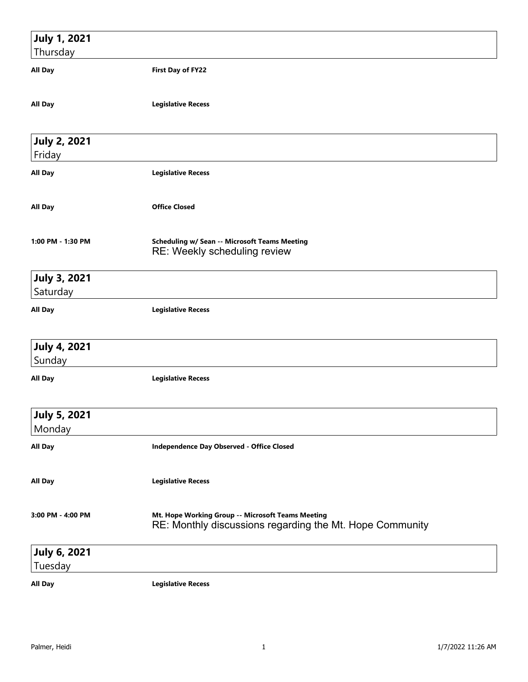| <b>July 1, 2021</b>             |                                                                                                               |
|---------------------------------|---------------------------------------------------------------------------------------------------------------|
| Thursday                        |                                                                                                               |
| <b>All Day</b>                  | First Day of FY22                                                                                             |
| <b>All Day</b>                  | <b>Legislative Recess</b>                                                                                     |
| <b>July 2, 2021</b>             |                                                                                                               |
| Friday                          |                                                                                                               |
| <b>All Day</b>                  | <b>Legislative Recess</b>                                                                                     |
| <b>All Day</b>                  | <b>Office Closed</b>                                                                                          |
| 1:00 PM - 1:30 PM               | <b>Scheduling w/ Sean -- Microsoft Teams Meeting</b><br>RE: Weekly scheduling review                          |
| <b>July 3, 2021</b><br>Saturday |                                                                                                               |
| All Day                         | <b>Legislative Recess</b>                                                                                     |
| <b>July 4, 2021</b><br>Sunday   |                                                                                                               |
| <b>All Day</b>                  | <b>Legislative Recess</b>                                                                                     |
| <b>July 5, 2021</b><br>Monday   |                                                                                                               |
| <b>All Day</b>                  | Independence Day Observed - Office Closed                                                                     |
| <b>All Day</b>                  | <b>Legislative Recess</b>                                                                                     |
| 3:00 PM - 4:00 PM               | Mt. Hope Working Group -- Microsoft Teams Meeting<br>RE: Monthly discussions regarding the Mt. Hope Community |
| <b>July 6, 2021</b><br>Tuesday  |                                                                                                               |
| <b>All Day</b>                  | <b>Legislative Recess</b>                                                                                     |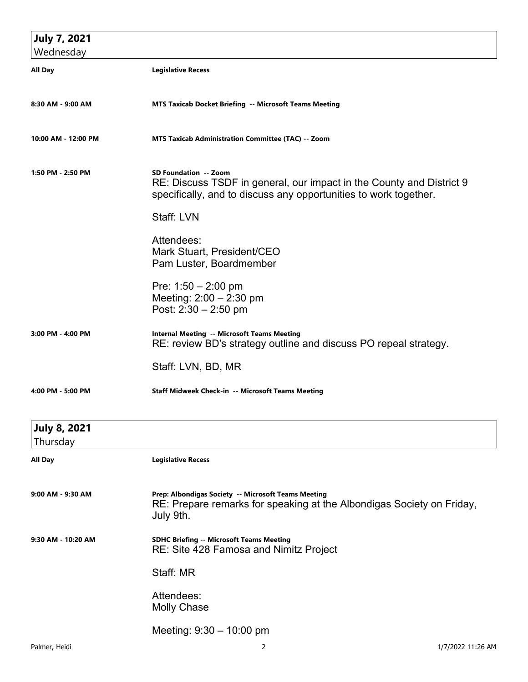| <b>July 7, 2021</b><br>Wednesday |                                                                                                                                                                   |
|----------------------------------|-------------------------------------------------------------------------------------------------------------------------------------------------------------------|
| All Day                          | <b>Legislative Recess</b>                                                                                                                                         |
| 8:30 AM - 9:00 AM                | MTS Taxicab Docket Briefing -- Microsoft Teams Meeting                                                                                                            |
| 10:00 AM - 12:00 PM              | <b>MTS Taxicab Administration Committee (TAC) -- Zoom</b>                                                                                                         |
| 1:50 PM - 2:50 PM                | SD Foundation -- Zoom<br>RE: Discuss TSDF in general, our impact in the County and District 9<br>specifically, and to discuss any opportunities to work together. |
|                                  | Staff: LVN                                                                                                                                                        |
|                                  | Attendees:<br>Mark Stuart, President/CEO<br>Pam Luster, Boardmember                                                                                               |
|                                  | Pre: $1:50 - 2:00$ pm<br>Meeting: $2:00 - 2:30$ pm<br>Post: $2:30 - 2:50$ pm                                                                                      |
| 3:00 PM - 4:00 PM                | <b>Internal Meeting -- Microsoft Teams Meeting</b><br>RE: review BD's strategy outline and discuss PO repeal strategy.                                            |
|                                  | Staff: LVN, BD, MR                                                                                                                                                |
| 4:00 PM - 5:00 PM                | Staff Midweek Check-in -- Microsoft Teams Meeting                                                                                                                 |
| <b>July 8, 2021</b><br>Thursday  |                                                                                                                                                                   |
| <b>All Day</b>                   | <b>Legislative Recess</b>                                                                                                                                         |
| 9:00 AM - 9:30 AM                | Prep: Albondigas Society -- Microsoft Teams Meeting<br>RE: Prepare remarks for speaking at the Albondigas Society on Friday,<br>July 9th.                         |
| 9:30 AM - 10:20 AM               | <b>SDHC Briefing -- Microsoft Teams Meeting</b><br>RE: Site 428 Famosa and Nimitz Project                                                                         |
|                                  | Staff: MR                                                                                                                                                         |
|                                  | Attendees:<br><b>Molly Chase</b>                                                                                                                                  |
|                                  | Meeting: $9:30 - 10:00$ pm                                                                                                                                        |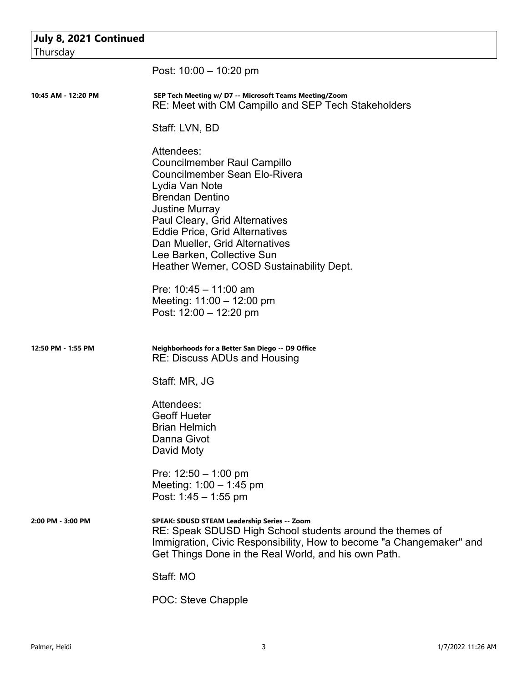| July 8, 2021 Continued<br>Thursday |                                                                                                                                                                                                                                                                                                                                                                           |
|------------------------------------|---------------------------------------------------------------------------------------------------------------------------------------------------------------------------------------------------------------------------------------------------------------------------------------------------------------------------------------------------------------------------|
|                                    | Post: $10:00 - 10:20$ pm                                                                                                                                                                                                                                                                                                                                                  |
| 10:45 AM - 12:20 PM                | SEP Tech Meeting w/ D7 -- Microsoft Teams Meeting/Zoom<br>RE: Meet with CM Campillo and SEP Tech Stakeholders                                                                                                                                                                                                                                                             |
|                                    | Staff: LVN, BD                                                                                                                                                                                                                                                                                                                                                            |
|                                    | Attendees:<br>Councilmember Raul Campillo<br><b>Councilmember Sean Elo-Rivera</b><br>Lydia Van Note<br><b>Brendan Dentino</b><br><b>Justine Murray</b><br>Paul Cleary, Grid Alternatives<br><b>Eddie Price, Grid Alternatives</b><br>Dan Mueller, Grid Alternatives<br>Lee Barken, Collective Sun<br>Heather Werner, COSD Sustainability Dept.<br>Pre: $10:45 - 11:00$ am |
|                                    | Meeting: $11:00 - 12:00$ pm<br>Post: $12:00 - 12:20 \text{ pm}$                                                                                                                                                                                                                                                                                                           |
| 12:50 PM - 1:55 PM                 | Neighborhoods for a Better San Diego -- D9 Office<br>RE: Discuss ADUs and Housing                                                                                                                                                                                                                                                                                         |
|                                    | Staff: MR, JG                                                                                                                                                                                                                                                                                                                                                             |
|                                    | Attendees:<br><b>Geoff Hueter</b><br><b>Brian Helmich</b><br>Danna Givot<br>David Moty                                                                                                                                                                                                                                                                                    |
|                                    | Pre: $12:50 - 1:00$ pm<br>Meeting: $1:00 - 1:45$ pm<br>Post: 1:45 - 1:55 pm                                                                                                                                                                                                                                                                                               |
| 2:00 PM - 3:00 PM                  | SPEAK: SDUSD STEAM Leadership Series -- Zoom<br>RE: Speak SDUSD High School students around the themes of<br>Immigration, Civic Responsibility, How to become "a Changemaker" and<br>Get Things Done in the Real World, and his own Path.                                                                                                                                 |
|                                    | Staff: MO                                                                                                                                                                                                                                                                                                                                                                 |
|                                    | POC: Steve Chapple                                                                                                                                                                                                                                                                                                                                                        |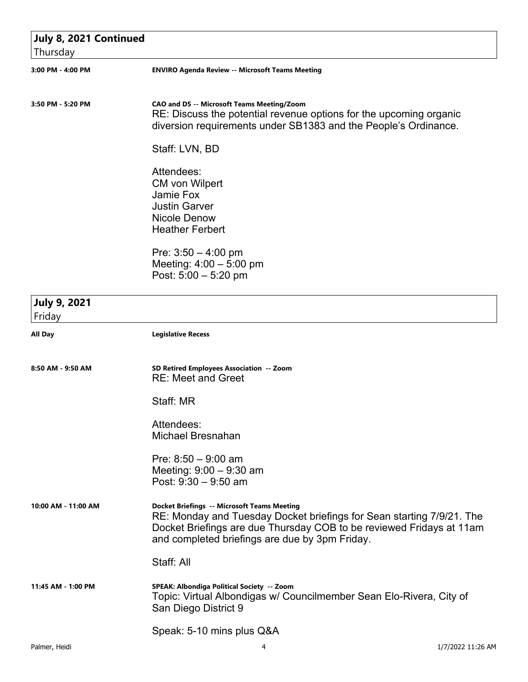| July 8, 2021 Continued        |                                                                                                                                                                                                                                                       |
|-------------------------------|-------------------------------------------------------------------------------------------------------------------------------------------------------------------------------------------------------------------------------------------------------|
| Thursday                      |                                                                                                                                                                                                                                                       |
| 3:00 PM - 4:00 PM             | <b>ENVIRO Agenda Review -- Microsoft Teams Meeting</b>                                                                                                                                                                                                |
| 3:50 PM - 5:20 PM             | CAO and D5 -- Microsoft Teams Meeting/Zoom<br>RE: Discuss the potential revenue options for the upcoming organic<br>diversion requirements under SB1383 and the People's Ordinance.                                                                   |
|                               | Staff: LVN, BD                                                                                                                                                                                                                                        |
|                               | Attendees:<br><b>CM von Wilpert</b><br>Jamie Fox<br><b>Justin Garver</b><br>Nicole Denow<br><b>Heather Ferbert</b>                                                                                                                                    |
|                               | Pre: $3:50 - 4:00$ pm<br>Meeting: $4:00 - 5:00$ pm<br>Post: $5:00 - 5:20$ pm                                                                                                                                                                          |
| <b>July 9, 2021</b><br>Friday |                                                                                                                                                                                                                                                       |
| All Day                       | <b>Legislative Recess</b>                                                                                                                                                                                                                             |
| 8:50 AM - 9:50 AM             | SD Retired Employees Association -- Zoom<br><b>RE: Meet and Greet</b>                                                                                                                                                                                 |
|                               | Staff: MR                                                                                                                                                                                                                                             |
|                               | Attendees:<br><b>Michael Bresnahan</b>                                                                                                                                                                                                                |
|                               | Pre: $8:50 - 9:00$ am<br>Meeting: $9:00 - 9:30$ am<br>Post: $9:30 - 9:50$ am                                                                                                                                                                          |
| 10:00 AM - 11:00 AM           | <b>Docket Briefings -- Microsoft Teams Meeting</b><br>RE: Monday and Tuesday Docket briefings for Sean starting 7/9/21. The<br>Docket Briefings are due Thursday COB to be reviewed Fridays at 11am<br>and completed briefings are due by 3pm Friday. |
|                               | Staff: All                                                                                                                                                                                                                                            |
| 11:45 AM - 1:00 PM            | SPEAK: Albondiga Political Society -- Zoom<br>Topic: Virtual Albondigas w/ Councilmember Sean Elo-Rivera, City of<br>San Diego District 9                                                                                                             |
|                               | Speak: 5-10 mins plus Q&A                                                                                                                                                                                                                             |
| Palmer, Heidi                 | 4<br>1/7/2022 11:26 AM                                                                                                                                                                                                                                |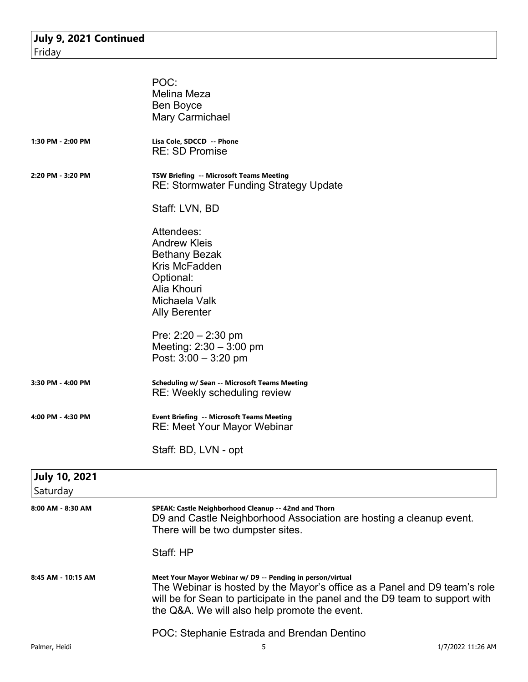|                                  | POC:<br>Melina Meza                                                                                                                                                                                                                                                      |
|----------------------------------|--------------------------------------------------------------------------------------------------------------------------------------------------------------------------------------------------------------------------------------------------------------------------|
|                                  | Ben Boyce<br>Mary Carmichael                                                                                                                                                                                                                                             |
| 1:30 PM - 2:00 PM                | Lisa Cole, SDCCD -- Phone<br><b>RE: SD Promise</b>                                                                                                                                                                                                                       |
| 2:20 PM - 3:20 PM                | TSW Briefing -- Microsoft Teams Meeting<br><b>RE: Stormwater Funding Strategy Update</b>                                                                                                                                                                                 |
|                                  | Staff: LVN, BD                                                                                                                                                                                                                                                           |
|                                  | Attendees:<br><b>Andrew Kleis</b><br><b>Bethany Bezak</b><br>Kris McFadden<br>Optional:<br>Alia Khouri<br>Michaela Valk<br><b>Ally Berenter</b>                                                                                                                          |
|                                  | Pre: $2:20 - 2:30$ pm<br>Meeting: $2:30 - 3:00$ pm<br>Post: $3:00 - 3:20$ pm                                                                                                                                                                                             |
| 3:30 PM - 4:00 PM                | <b>Scheduling w/ Sean -- Microsoft Teams Meeting</b><br>RE: Weekly scheduling review                                                                                                                                                                                     |
| 4:00 PM - 4:30 PM                | <b>Event Briefing -- Microsoft Teams Meeting</b><br>RE: Meet Your Mayor Webinar                                                                                                                                                                                          |
|                                  | Staff: BD, LVN - opt                                                                                                                                                                                                                                                     |
| <b>July 10, 2021</b><br>Saturday |                                                                                                                                                                                                                                                                          |
| 8:00 AM - 8:30 AM                | SPEAK: Castle Neighborhood Cleanup -- 42nd and Thorn<br>D9 and Castle Neighborhood Association are hosting a cleanup event.<br>There will be two dumpster sites.                                                                                                         |
|                                  | Staff: HP                                                                                                                                                                                                                                                                |
| 8:45 AM - 10:15 AM               | Meet Your Mayor Webinar w/ D9 -- Pending in person/virtual<br>The Webinar is hosted by the Mayor's office as a Panel and D9 team's role<br>will be for Sean to participate in the panel and the D9 team to support with<br>the Q&A. We will also help promote the event. |
|                                  | POC: Stephanie Estrada and Brendan Dentino                                                                                                                                                                                                                               |
| Palmer, Heidi                    | 5<br>1/7/2022 11:26 AM                                                                                                                                                                                                                                                   |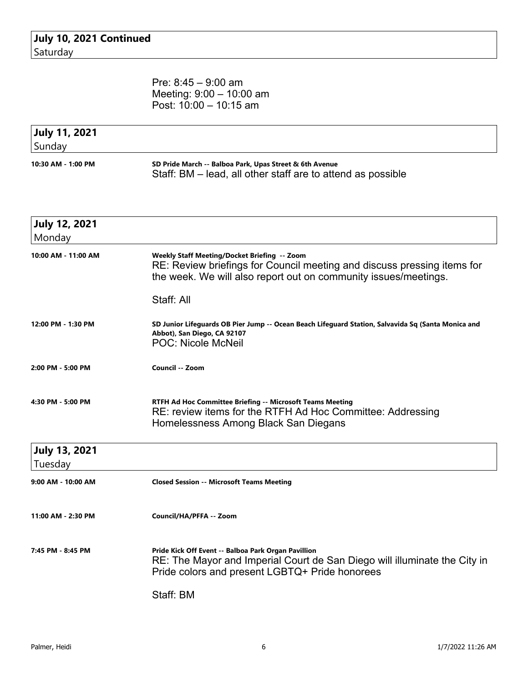Pre: 8:45 – 9:00 am Meeting: 9:00 – 10:00 am Post: 10:00 – 10:15 am

| July 11, 2021      |                                                                                                                        |  |
|--------------------|------------------------------------------------------------------------------------------------------------------------|--|
| Sunday             |                                                                                                                        |  |
| 10:30 AM - 1:00 PM | SD Pride March -- Balboa Park, Upas Street & 6th Avenue<br>Staff: BM – lead, all other staff are to attend as possible |  |

| <b>July 12, 2021</b><br>Monday  |                                                                                                                                                                                            |
|---------------------------------|--------------------------------------------------------------------------------------------------------------------------------------------------------------------------------------------|
| 10:00 AM - 11:00 AM             | Weekly Staff Meeting/Docket Briefing -- Zoom<br>RE: Review briefings for Council meeting and discuss pressing items for<br>the week. We will also report out on community issues/meetings. |
|                                 | Staff: All                                                                                                                                                                                 |
| 12:00 PM - 1:30 PM              | SD Junior Lifeguards OB Pier Jump -- Ocean Beach Lifeguard Station, Salvavida Sq (Santa Monica and<br>Abbot), San Diego, CA 92107<br><b>POC: Nicole McNeil</b>                             |
| 2:00 PM - 5:00 PM               | Council -- Zoom                                                                                                                                                                            |
| 4:30 PM - 5:00 PM               | RTFH Ad Hoc Committee Briefing -- Microsoft Teams Meeting<br>RE: review items for the RTFH Ad Hoc Committee: Addressing<br>Homelessness Among Black San Diegans                            |
| <b>July 13, 2021</b><br>Tuesday |                                                                                                                                                                                            |
| 9:00 AM - 10:00 AM              | <b>Closed Session -- Microsoft Teams Meeting</b>                                                                                                                                           |
| 11:00 AM - 2:30 PM              | Council/HA/PFFA -- Zoom                                                                                                                                                                    |
| 7:45 PM - 8:45 PM               | Pride Kick Off Event -- Balboa Park Organ Pavillion<br>RE: The Mayor and Imperial Court de San Diego will illuminate the City in<br>Pride colors and present LGBTQ+ Pride honorees         |
|                                 | Staff: BM                                                                                                                                                                                  |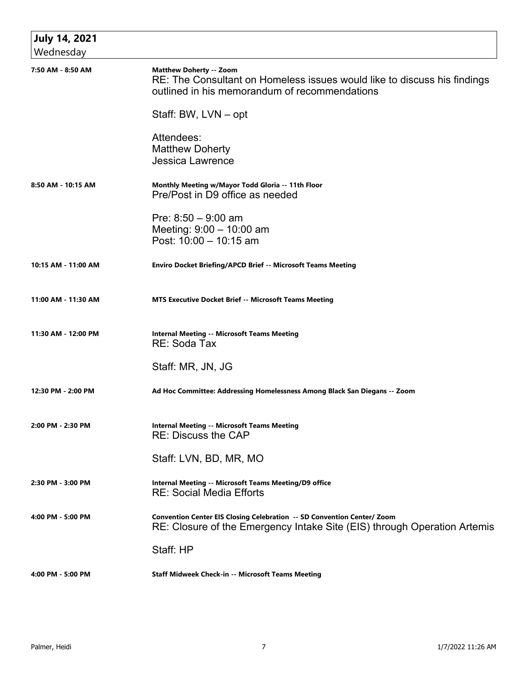| <b>July 14, 2021</b><br>Wednesday |                                                                                                                                                             |
|-----------------------------------|-------------------------------------------------------------------------------------------------------------------------------------------------------------|
| 7:50 AM - 8:50 AM                 | <b>Matthew Doherty -- Zoom</b><br>RE: The Consultant on Homeless issues would like to discuss his findings<br>outlined in his memorandum of recommendations |
|                                   | Staff: BW, LVN - opt                                                                                                                                        |
|                                   | Attendees:<br><b>Matthew Doherty</b><br><b>Jessica Lawrence</b>                                                                                             |
| 8:50 AM - 10:15 AM                | Monthly Meeting w/Mayor Todd Gloria -- 11th Floor<br>Pre/Post in D9 office as needed                                                                        |
|                                   | Pre: $8:50 - 9:00$ am<br>Meeting: $9:00 - 10:00$ am<br>Post: 10:00 - 10:15 am                                                                               |
| 10:15 AM - 11:00 AM               | <b>Enviro Docket Briefing/APCD Brief -- Microsoft Teams Meeting</b>                                                                                         |
| 11:00 AM - 11:30 AM               | <b>MTS Executive Docket Brief -- Microsoft Teams Meeting</b>                                                                                                |
| 11:30 AM - 12:00 PM               | <b>Internal Meeting -- Microsoft Teams Meeting</b><br>RE: Soda Tax                                                                                          |
|                                   | Staff: MR, JN, JG                                                                                                                                           |
| 12:30 PM - 2:00 PM                | Ad Hoc Committee: Addressing Homelessness Among Black San Diegans -- Zoom                                                                                   |
| 2:00 PM - 2:30 PM                 | <b>Internal Meeting -- Microsoft Teams Meeting</b><br><b>RE: Discuss the CAP</b>                                                                            |
|                                   | Staff: LVN, BD, MR, MO                                                                                                                                      |
| 2:30 PM - 3:00 PM                 | <b>Internal Meeting -- Microsoft Teams Meeting/D9 office</b><br><b>RE: Social Media Efforts</b>                                                             |
| 4:00 PM - 5:00 PM                 | Convention Center EIS Closing Celebration -- SD Convention Center/ Zoom<br>RE: Closure of the Emergency Intake Site (EIS) through Operation Artemis         |
|                                   | Staff: HP                                                                                                                                                   |
| 4:00 PM - 5:00 PM                 | <b>Staff Midweek Check-in -- Microsoft Teams Meeting</b>                                                                                                    |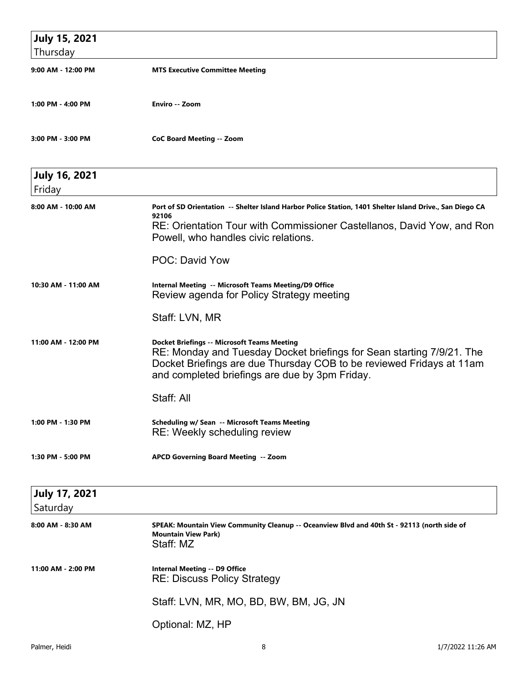| <b>July 15, 2021</b>           |                                                                                                                                                                                                                                                                         |
|--------------------------------|-------------------------------------------------------------------------------------------------------------------------------------------------------------------------------------------------------------------------------------------------------------------------|
| Thursday                       |                                                                                                                                                                                                                                                                         |
| 9:00 AM - 12:00 PM             | <b>MTS Executive Committee Meeting</b>                                                                                                                                                                                                                                  |
| 1:00 PM - 4:00 PM              | Enviro -- Zoom                                                                                                                                                                                                                                                          |
| 3:00 PM - 3:00 PM              | <b>CoC Board Meeting -- Zoom</b>                                                                                                                                                                                                                                        |
| <b>July 16, 2021</b><br>Friday |                                                                                                                                                                                                                                                                         |
| 8:00 AM - 10:00 AM             | Port of SD Orientation -- Shelter Island Harbor Police Station, 1401 Shelter Island Drive., San Diego CA<br>92106<br>RE: Orientation Tour with Commissioner Castellanos, David Yow, and Ron<br>Powell, who handles civic relations.<br>POC: David Yow                   |
| 10:30 AM - 11:00 AM            | Internal Meeting -- Microsoft Teams Meeting/D9 Office<br>Review agenda for Policy Strategy meeting                                                                                                                                                                      |
| 11:00 AM - 12:00 PM            | Staff: LVN, MR<br><b>Docket Briefings -- Microsoft Teams Meeting</b><br>RE: Monday and Tuesday Docket briefings for Sean starting 7/9/21. The<br>Docket Briefings are due Thursday COB to be reviewed Fridays at 11am<br>and completed briefings are due by 3pm Friday. |
|                                | Staff: All                                                                                                                                                                                                                                                              |
| 1:00 PM - 1:30 PM              | Scheduling w/ Sean -- Microsoft Teams Meeting<br>RE: Weekly scheduling review                                                                                                                                                                                           |
| 1:30 PM - 5:00 PM              | APCD Governing Board Meeting -- Zoom                                                                                                                                                                                                                                    |
| <b>July 17, 2021</b>           |                                                                                                                                                                                                                                                                         |
| Saturday<br>8:00 AM - 8:30 AM  | SPEAK: Mountain View Community Cleanup -- Oceanview Blvd and 40th St - 92113 (north side of<br><b>Mountain View Park)</b><br>Staff: MZ                                                                                                                                  |
| 11:00 AM - 2:00 PM             | <b>Internal Meeting -- D9 Office</b><br><b>RE: Discuss Policy Strategy</b>                                                                                                                                                                                              |
|                                | Staff: LVN, MR, MO, BD, BW, BM, JG, JN                                                                                                                                                                                                                                  |
|                                | Optional: MZ, HP                                                                                                                                                                                                                                                        |
| Palmer, Heidi                  | 8<br>1/7/2022 11:26 AM                                                                                                                                                                                                                                                  |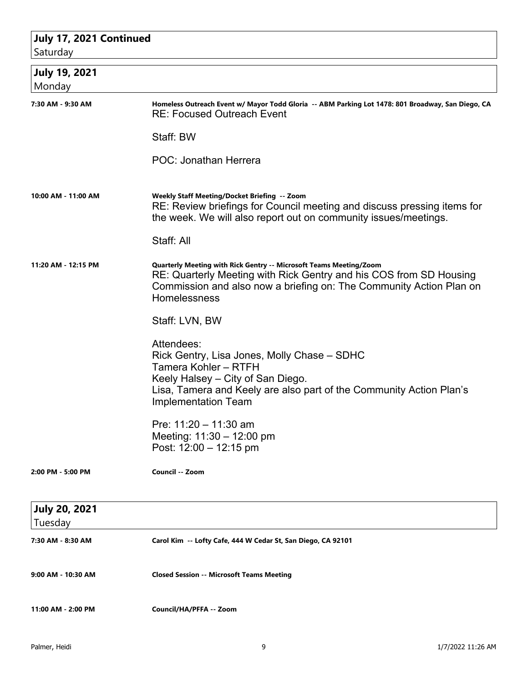## **July 17, 2021 Continued**

| Saturday                        |                                                                                                                                                                                                                                 |
|---------------------------------|---------------------------------------------------------------------------------------------------------------------------------------------------------------------------------------------------------------------------------|
| <b>July 19, 2021</b><br>Monday  |                                                                                                                                                                                                                                 |
| 7:30 AM - 9:30 AM               | Homeless Outreach Event w/ Mayor Todd Gloria -- ABM Parking Lot 1478: 801 Broadway, San Diego, CA<br><b>RE: Focused Outreach Event</b>                                                                                          |
|                                 | Staff: BW                                                                                                                                                                                                                       |
|                                 | POC: Jonathan Herrera                                                                                                                                                                                                           |
| 10:00 AM - 11:00 AM             | Weekly Staff Meeting/Docket Briefing -- Zoom<br>RE: Review briefings for Council meeting and discuss pressing items for<br>the week. We will also report out on community issues/meetings.                                      |
|                                 | Staff: All                                                                                                                                                                                                                      |
| 11:20 AM - 12:15 PM             | Quarterly Meeting with Rick Gentry -- Microsoft Teams Meeting/Zoom<br>RE: Quarterly Meeting with Rick Gentry and his COS from SD Housing<br>Commission and also now a briefing on: The Community Action Plan on<br>Homelessness |
|                                 | Staff: LVN, BW                                                                                                                                                                                                                  |
|                                 | Attendees:<br>Rick Gentry, Lisa Jones, Molly Chase - SDHC<br>Tamera Kohler - RTFH<br>Keely Halsey – City of San Diego.<br>Lisa, Tamera and Keely are also part of the Community Action Plan's<br><b>Implementation Team</b>     |
|                                 | Pre: $11:20 - 11:30$ am<br>Meeting: 11:30 - 12:00 pm<br>Post: $12:00 - 12:15$ pm                                                                                                                                                |
| 2:00 PM - 5:00 PM               | Council -- Zoom                                                                                                                                                                                                                 |
| <b>July 20, 2021</b><br>Tuesday |                                                                                                                                                                                                                                 |
| 7:30 AM - 8:30 AM               | Carol Kim -- Lofty Cafe, 444 W Cedar St, San Diego, CA 92101                                                                                                                                                                    |
| 9:00 AM - 10:30 AM              | <b>Closed Session -- Microsoft Teams Meeting</b>                                                                                                                                                                                |
| 11:00 AM - 2:00 PM              | Council/HA/PFFA -- Zoom                                                                                                                                                                                                         |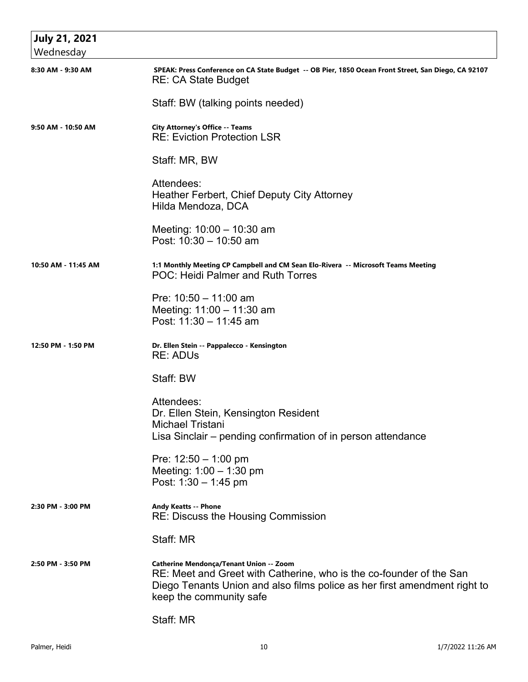| <b>July 21, 2021</b> |                                                                                                                                                                                                                        |
|----------------------|------------------------------------------------------------------------------------------------------------------------------------------------------------------------------------------------------------------------|
| Wednesday            |                                                                                                                                                                                                                        |
| 8:30 AM - 9:30 AM    | SPEAK: Press Conference on CA State Budget -- OB Pier, 1850 Ocean Front Street, San Diego, CA 92107<br><b>RE: CA State Budget</b>                                                                                      |
|                      | Staff: BW (talking points needed)                                                                                                                                                                                      |
| 9:50 AM - 10:50 AM   | <b>City Attorney's Office -- Teams</b><br><b>RE: Eviction Protection LSR</b>                                                                                                                                           |
|                      | Staff: MR, BW                                                                                                                                                                                                          |
|                      | Attendees:<br>Heather Ferbert, Chief Deputy City Attorney<br>Hilda Mendoza, DCA                                                                                                                                        |
|                      | Meeting: 10:00 - 10:30 am<br>Post: $10:30 - 10:50$ am                                                                                                                                                                  |
| 10:50 AM - 11:45 AM  | 1:1 Monthly Meeting CP Campbell and CM Sean Elo-Rivera -- Microsoft Teams Meeting<br><b>POC: Heidi Palmer and Ruth Torres</b>                                                                                          |
|                      | Pre: $10:50 - 11:00$ am<br>Meeting: $11:00 - 11:30$ am<br>Post: 11:30 - 11:45 am                                                                                                                                       |
| 12:50 PM - 1:50 PM   | Dr. Ellen Stein -- Pappalecco - Kensington<br><b>RE: ADUs</b>                                                                                                                                                          |
|                      | Staff: BW                                                                                                                                                                                                              |
|                      | Attendees:<br>Dr. Ellen Stein, Kensington Resident<br>Michael Tristani                                                                                                                                                 |
|                      | Lisa Sinclair – pending confirmation of in person attendance                                                                                                                                                           |
|                      | Pre: $12:50 - 1:00$ pm<br>Meeting: $1:00 - 1:30$ pm<br>Post: $1:30 - 1:45$ pm                                                                                                                                          |
| 2:30 PM - 3:00 PM    | <b>Andy Keatts -- Phone</b><br><b>RE: Discuss the Housing Commission</b>                                                                                                                                               |
|                      | Staff: MR                                                                                                                                                                                                              |
| 2:50 PM - 3:50 PM    | Catherine Mendonça/Tenant Union -- Zoom<br>RE: Meet and Greet with Catherine, who is the co-founder of the San<br>Diego Tenants Union and also films police as her first amendment right to<br>keep the community safe |
|                      | Staff: MR                                                                                                                                                                                                              |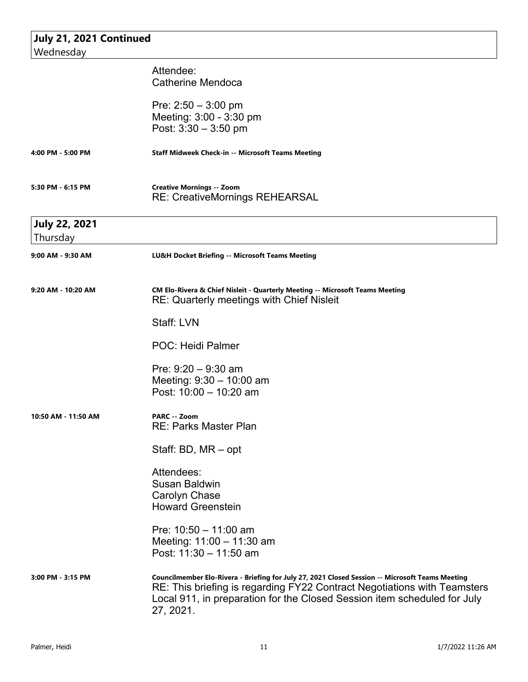## **July 21, 2021 Continued** Wednesday

|                                  | Attendee:<br><b>Catherine Mendoca</b>                                                                                                                                                                                                                                |
|----------------------------------|----------------------------------------------------------------------------------------------------------------------------------------------------------------------------------------------------------------------------------------------------------------------|
|                                  | Pre: $2:50 - 3:00$ pm<br>Meeting: 3:00 - 3:30 pm<br>Post: $3:30 - 3:50$ pm                                                                                                                                                                                           |
| 4:00 PM - 5:00 PM                | <b>Staff Midweek Check-in -- Microsoft Teams Meeting</b>                                                                                                                                                                                                             |
| 5:30 PM - 6:15 PM                | <b>Creative Mornings -- Zoom</b><br><b>RE: CreativeMornings REHEARSAL</b>                                                                                                                                                                                            |
| <b>July 22, 2021</b><br>Thursday |                                                                                                                                                                                                                                                                      |
| 9:00 AM - 9:30 AM                | LU&H Docket Briefing -- Microsoft Teams Meeting                                                                                                                                                                                                                      |
| 9:20 AM - 10:20 AM               | CM Elo-Rivera & Chief Nisleit - Quarterly Meeting -- Microsoft Teams Meeting<br><b>RE: Quarterly meetings with Chief Nisleit</b>                                                                                                                                     |
|                                  | Staff: LVN                                                                                                                                                                                                                                                           |
|                                  | <b>POC: Heidi Palmer</b>                                                                                                                                                                                                                                             |
|                                  | Pre: $9:20 - 9:30$ am<br>Meeting: $9:30 - 10:00$ am<br>Post: 10:00 - 10:20 am                                                                                                                                                                                        |
| 10:50 AM - 11:50 AM              | PARC -- Zoom<br><b>RE: Parks Master Plan</b>                                                                                                                                                                                                                         |
|                                  | Staff: BD, MR - opt                                                                                                                                                                                                                                                  |
|                                  | Attendees:<br><b>Susan Baldwin</b><br>Carolyn Chase<br><b>Howard Greenstein</b>                                                                                                                                                                                      |
|                                  | Pre: $10:50 - 11:00$ am<br>Meeting: 11:00 - 11:30 am<br>Post: 11:30 - 11:50 am                                                                                                                                                                                       |
| 3:00 PM - 3:15 PM                | Councilmember Elo-Rivera - Briefing for July 27, 2021 Closed Session -- Microsoft Teams Meeting<br>RE: This briefing is regarding FY22 Contract Negotiations with Teamsters<br>Local 911, in preparation for the Closed Session item scheduled for July<br>27, 2021. |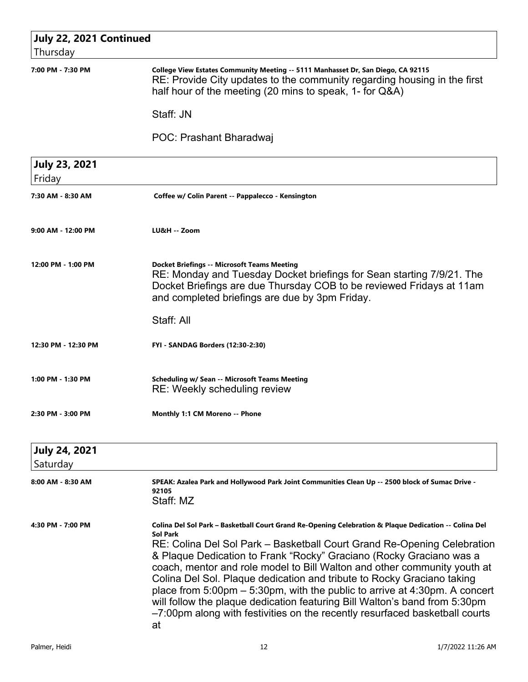| July 22, 2021 Continued<br>Thursday |                                                                                                                                                                                                                                                                                                                                                                                                                                                                                                                                                                                                                                                                                           |
|-------------------------------------|-------------------------------------------------------------------------------------------------------------------------------------------------------------------------------------------------------------------------------------------------------------------------------------------------------------------------------------------------------------------------------------------------------------------------------------------------------------------------------------------------------------------------------------------------------------------------------------------------------------------------------------------------------------------------------------------|
| 7:00 PM - 7:30 PM                   | College View Estates Community Meeting -- 5111 Manhasset Dr, San Diego, CA 92115<br>RE: Provide City updates to the community regarding housing in the first<br>half hour of the meeting (20 mins to speak, 1- for Q&A)                                                                                                                                                                                                                                                                                                                                                                                                                                                                   |
|                                     | Staff: JN                                                                                                                                                                                                                                                                                                                                                                                                                                                                                                                                                                                                                                                                                 |
|                                     | POC: Prashant Bharadwaj                                                                                                                                                                                                                                                                                                                                                                                                                                                                                                                                                                                                                                                                   |
| <b>July 23, 2021</b><br>Friday      |                                                                                                                                                                                                                                                                                                                                                                                                                                                                                                                                                                                                                                                                                           |
| 7:30 AM - 8:30 AM                   | Coffee w/ Colin Parent -- Pappalecco - Kensington                                                                                                                                                                                                                                                                                                                                                                                                                                                                                                                                                                                                                                         |
| 9:00 AM - 12:00 PM                  | LU&H -- Zoom                                                                                                                                                                                                                                                                                                                                                                                                                                                                                                                                                                                                                                                                              |
| 12:00 PM - 1:00 PM                  | <b>Docket Briefings -- Microsoft Teams Meeting</b><br>RE: Monday and Tuesday Docket briefings for Sean starting 7/9/21. The<br>Docket Briefings are due Thursday COB to be reviewed Fridays at 11am<br>and completed briefings are due by 3pm Friday.                                                                                                                                                                                                                                                                                                                                                                                                                                     |
|                                     | Staff: All                                                                                                                                                                                                                                                                                                                                                                                                                                                                                                                                                                                                                                                                                |
| 12:30 PM - 12:30 PM                 | <b>FYI - SANDAG Borders (12:30-2:30)</b>                                                                                                                                                                                                                                                                                                                                                                                                                                                                                                                                                                                                                                                  |
| 1:00 PM - 1:30 PM                   | <b>Scheduling w/ Sean -- Microsoft Teams Meeting</b><br>RE: Weekly scheduling review                                                                                                                                                                                                                                                                                                                                                                                                                                                                                                                                                                                                      |
| 2:30 PM - 3:00 PM                   | Monthly 1:1 CM Moreno -- Phone                                                                                                                                                                                                                                                                                                                                                                                                                                                                                                                                                                                                                                                            |
| <b>July 24, 2021</b><br>Saturday    |                                                                                                                                                                                                                                                                                                                                                                                                                                                                                                                                                                                                                                                                                           |
| 8:00 AM - 8:30 AM                   | SPEAK: Azalea Park and Hollywood Park Joint Communities Clean Up -- 2500 block of Sumac Drive -<br>92105<br>Staff: MZ                                                                                                                                                                                                                                                                                                                                                                                                                                                                                                                                                                     |
| 4:30 PM - 7:00 PM                   | Colina Del Sol Park - Basketball Court Grand Re-Opening Celebration & Plaque Dedication -- Colina Del<br><b>Sol Park</b><br>RE: Colina Del Sol Park – Basketball Court Grand Re-Opening Celebration<br>& Plaque Dedication to Frank "Rocky" Graciano (Rocky Graciano was a<br>coach, mentor and role model to Bill Walton and other community youth at<br>Colina Del Sol. Plaque dedication and tribute to Rocky Graciano taking<br>place from $5:00$ pm $-5:30$ pm, with the public to arrive at $4:30$ pm. A concert<br>will follow the plaque dedication featuring Bill Walton's band from 5:30pm<br>-7:00pm along with festivities on the recently resurfaced basketball courts<br>at |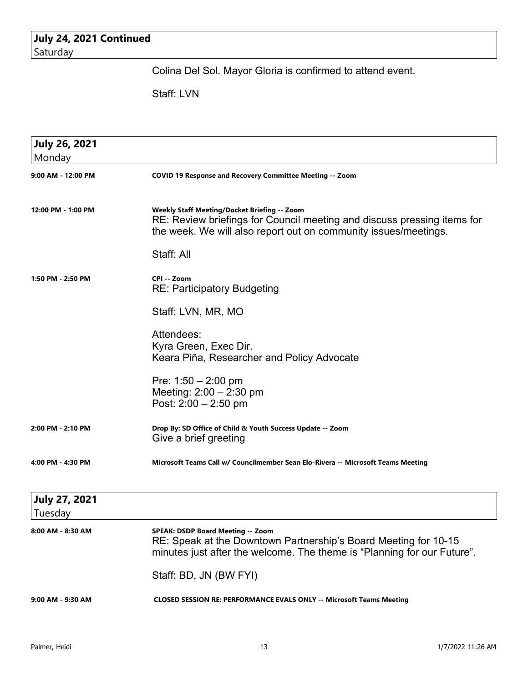**July 24, 2021 Continued** Saturday

Colina Del Sol. Mayor Gloria is confirmed to attend event.

Staff: LVN

| <b>July 26, 2021</b> |                                                                                                                                                                                            |
|----------------------|--------------------------------------------------------------------------------------------------------------------------------------------------------------------------------------------|
| Monday               |                                                                                                                                                                                            |
| 9:00 AM - 12:00 PM   | COVID 19 Response and Recovery Committee Meeting -- Zoom                                                                                                                                   |
| 12:00 PM - 1:00 PM   | Weekly Staff Meeting/Docket Briefing -- Zoom<br>RE: Review briefings for Council meeting and discuss pressing items for<br>the week. We will also report out on community issues/meetings. |
|                      | Staff: All                                                                                                                                                                                 |
| 1:50 PM - 2:50 PM    | CPI -- Zoom<br><b>RE: Participatory Budgeting</b>                                                                                                                                          |
|                      | Staff: LVN, MR, MO                                                                                                                                                                         |
|                      | Attendees:<br>Kyra Green, Exec Dir.<br>Keara Piña, Researcher and Policy Advocate                                                                                                          |
|                      | Pre: $1:50 - 2:00$ pm<br>Meeting: $2:00 - 2:30$ pm<br>Post: $2:00 - 2:50$ pm                                                                                                               |
| 2:00 PM - 2:10 PM    | Drop By: SD Office of Child & Youth Success Update -- Zoom<br>Give a brief greeting                                                                                                        |
| 4:00 PM - 4:30 PM    | Microsoft Teams Call w/ Councilmember Sean Elo-Rivera -- Microsoft Teams Meeting                                                                                                           |
| <b>July 27, 2021</b> |                                                                                                                                                                                            |
| Tuesday              |                                                                                                                                                                                            |
| 8:00 AM - 8:30 AM    | <b>SPEAK: DSDP Board Meeting -- Zoom</b><br>RE: Speak at the Downtown Partnership's Board Meeting for 10-15<br>minutes just after the welcome. The theme is "Planning for our Future".     |
|                      | Staff: BD, JN (BW FYI)                                                                                                                                                                     |
| 9:00 AM - 9:30 AM    | <b>CLOSED SESSION RE: PERFORMANCE EVALS ONLY -- Microsoft Teams Meeting</b>                                                                                                                |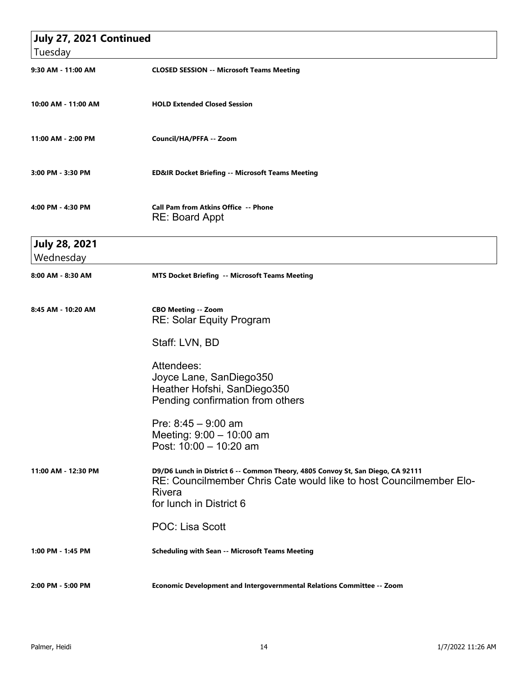| July 27, 2021 Continued           |                                                                                                                                                                                                   |  |
|-----------------------------------|---------------------------------------------------------------------------------------------------------------------------------------------------------------------------------------------------|--|
| Tuesday                           |                                                                                                                                                                                                   |  |
| 9:30 AM - 11:00 AM                | <b>CLOSED SESSION -- Microsoft Teams Meeting</b>                                                                                                                                                  |  |
| 10:00 AM - 11:00 AM               | <b>HOLD Extended Closed Session</b>                                                                                                                                                               |  |
| 11:00 AM - 2:00 PM                | Council/HA/PFFA -- Zoom                                                                                                                                                                           |  |
| 3:00 PM - 3:30 PM                 | <b>ED&amp;IR Docket Briefing -- Microsoft Teams Meeting</b>                                                                                                                                       |  |
| 4:00 PM - 4:30 PM                 | <b>Call Pam from Atkins Office -- Phone</b><br>RE: Board Appt                                                                                                                                     |  |
| <b>July 28, 2021</b><br>Wednesday |                                                                                                                                                                                                   |  |
| 8:00 AM - 8:30 AM                 | <b>MTS Docket Briefing -- Microsoft Teams Meeting</b>                                                                                                                                             |  |
| 8:45 AM - 10:20 AM                | <b>CBO Meeting -- Zoom</b><br><b>RE: Solar Equity Program</b>                                                                                                                                     |  |
|                                   | Staff: LVN, BD                                                                                                                                                                                    |  |
|                                   | Attendees:<br>Joyce Lane, SanDiego350<br>Heather Hofshi, SanDiego350<br>Pending confirmation from others                                                                                          |  |
|                                   | Pre: $8:45 - 9:00$ am<br>Meeting: 9:00 - 10:00 am<br>Post: 10:00 - 10:20 am                                                                                                                       |  |
| 11:00 AM - 12:30 PM               | D9/D6 Lunch in District 6 -- Common Theory, 4805 Convoy St, San Diego, CA 92111<br>RE: Councilmember Chris Cate would like to host Councilmember Elo-<br><b>Rivera</b><br>for lunch in District 6 |  |
|                                   | <b>POC: Lisa Scott</b>                                                                                                                                                                            |  |
| 1:00 PM - 1:45 PM                 | <b>Scheduling with Sean -- Microsoft Teams Meeting</b>                                                                                                                                            |  |
| 2:00 PM - 5:00 PM                 | Economic Development and Intergovernmental Relations Committee -- Zoom                                                                                                                            |  |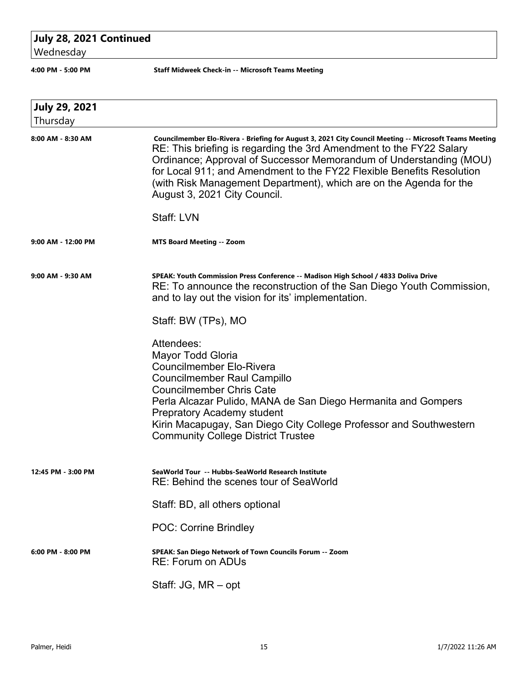## **July 28, 2021 Continued**

Wednesday

**4:00 PM - 5:00 PM Staff Midweek Check-in -- Microsoft Teams Meeting**

| <b>July 29, 2021</b><br>Thursday |                                                                                                                                                                                                                                                                                                                                                                                                                                    |
|----------------------------------|------------------------------------------------------------------------------------------------------------------------------------------------------------------------------------------------------------------------------------------------------------------------------------------------------------------------------------------------------------------------------------------------------------------------------------|
| 8:00 AM - 8:30 AM                | Councilmember Elo-Rivera - Briefing for August 3, 2021 City Council Meeting -- Microsoft Teams Meeting<br>RE: This briefing is regarding the 3rd Amendment to the FY22 Salary<br>Ordinance; Approval of Successor Memorandum of Understanding (MOU)<br>for Local 911; and Amendment to the FY22 Flexible Benefits Resolution<br>(with Risk Management Department), which are on the Agenda for the<br>August 3, 2021 City Council. |
|                                  | Staff: LVN                                                                                                                                                                                                                                                                                                                                                                                                                         |
| 9:00 AM - 12:00 PM               | <b>MTS Board Meeting -- Zoom</b>                                                                                                                                                                                                                                                                                                                                                                                                   |
| 9:00 AM - 9:30 AM                | SPEAK: Youth Commission Press Conference -- Madison High School / 4833 Doliva Drive<br>RE: To announce the reconstruction of the San Diego Youth Commission,<br>and to lay out the vision for its' implementation.                                                                                                                                                                                                                 |
|                                  | Staff: BW (TPs), MO                                                                                                                                                                                                                                                                                                                                                                                                                |
|                                  | Attendees:<br>Mayor Todd Gloria<br><b>Councilmember Elo-Rivera</b><br><b>Councilmember Raul Campillo</b><br><b>Councilmember Chris Cate</b><br>Perla Alcazar Pulido, MANA de San Diego Hermanita and Gompers<br><b>Prepratory Academy student</b><br>Kirin Macapugay, San Diego City College Professor and Southwestern<br><b>Community College District Trustee</b>                                                               |
| 12:45 PM - 3:00 PM               | SeaWorld Tour -- Hubbs-SeaWorld Research Institute<br>RE: Behind the scenes tour of SeaWorld                                                                                                                                                                                                                                                                                                                                       |
|                                  | Staff: BD, all others optional                                                                                                                                                                                                                                                                                                                                                                                                     |
|                                  | <b>POC: Corrine Brindley</b>                                                                                                                                                                                                                                                                                                                                                                                                       |
| $6:00$ PM - $8:00$ PM            | SPEAK: San Diego Network of Town Councils Forum -- Zoom<br><b>RE: Forum on ADUs</b>                                                                                                                                                                                                                                                                                                                                                |
|                                  | Staff: JG, MR - opt                                                                                                                                                                                                                                                                                                                                                                                                                |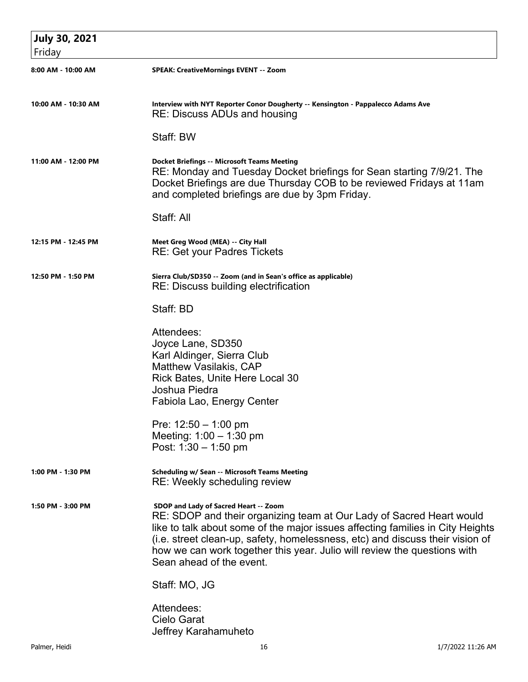| <b>July 30, 2021</b><br>Friday |                                                                                                                                                                                                                                                                                                                                                                                          |
|--------------------------------|------------------------------------------------------------------------------------------------------------------------------------------------------------------------------------------------------------------------------------------------------------------------------------------------------------------------------------------------------------------------------------------|
| 8:00 AM - 10:00 AM             | <b>SPEAK: CreativeMornings EVENT -- Zoom</b>                                                                                                                                                                                                                                                                                                                                             |
| 10:00 AM - 10:30 AM            | Interview with NYT Reporter Conor Dougherty -- Kensington - Pappalecco Adams Ave<br>RE: Discuss ADUs and housing                                                                                                                                                                                                                                                                         |
|                                | Staff: BW                                                                                                                                                                                                                                                                                                                                                                                |
| 11:00 AM - 12:00 PM            | <b>Docket Briefings -- Microsoft Teams Meeting</b><br>RE: Monday and Tuesday Docket briefings for Sean starting 7/9/21. The<br>Docket Briefings are due Thursday COB to be reviewed Fridays at 11am<br>and completed briefings are due by 3pm Friday.                                                                                                                                    |
|                                | Staff: All                                                                                                                                                                                                                                                                                                                                                                               |
| 12:15 PM - 12:45 PM            | Meet Greg Wood (MEA) -- City Hall<br>RE: Get your Padres Tickets                                                                                                                                                                                                                                                                                                                         |
| 12:50 PM - 1:50 PM             | Sierra Club/SD350 -- Zoom (and in Sean's office as applicable)<br>RE: Discuss building electrification                                                                                                                                                                                                                                                                                   |
|                                | Staff: BD                                                                                                                                                                                                                                                                                                                                                                                |
|                                | Attendees:<br>Joyce Lane, SD350<br>Karl Aldinger, Sierra Club<br><b>Matthew Vasilakis, CAP</b><br>Rick Bates, Unite Here Local 30<br>Joshua Piedra<br>Fabiola Lao, Energy Center                                                                                                                                                                                                         |
|                                | Pre: $12:50 - 1:00$ pm<br>Meeting: $1:00 - 1:30$ pm<br>Post: 1:30 - 1:50 pm                                                                                                                                                                                                                                                                                                              |
| 1:00 PM - 1:30 PM              | <b>Scheduling w/ Sean -- Microsoft Teams Meeting</b><br><b>RE: Weekly scheduling review</b>                                                                                                                                                                                                                                                                                              |
| 1:50 PM - 3:00 PM              | SDOP and Lady of Sacred Heart -- Zoom<br>RE: SDOP and their organizing team at Our Lady of Sacred Heart would<br>like to talk about some of the major issues affecting families in City Heights<br>(i.e. street clean-up, safety, homelessness, etc) and discuss their vision of<br>how we can work together this year. Julio will review the questions with<br>Sean ahead of the event. |
|                                | Staff: MO, JG                                                                                                                                                                                                                                                                                                                                                                            |
|                                | Attendees:<br>Cielo Garat<br>Jeffrey Karahamuheto                                                                                                                                                                                                                                                                                                                                        |